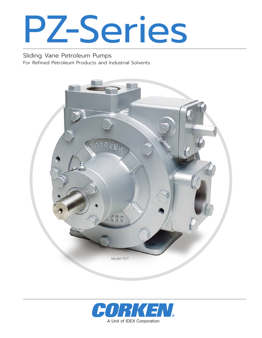

Sliding Vane Petroleum Pumps For Refined Petroleum Products and Industrial Solvents



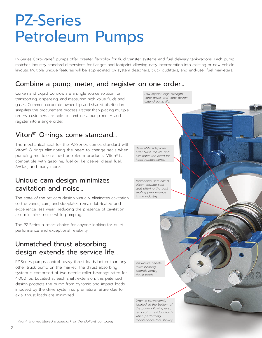## PZ-Series Petroleum Pumps

PZ-Series Coro-Vane® pumps offer greater flexibility for fluid transfer systems and fuel delivery tankwagons. Each pump matches industry-standard dimensions for flanges and footprint allowing easy incorporation into existing or new vehicle layouts. Multiple unique features will be appreciated by system designers, truck outfitters, and end-user fuel marketers.

#### Combine a pump, meter, and register on one order…

Corken and Liquid Controls are a single source solution for transporting, dispensing, and measuring high value fluids and gases. Common corporate ownership and shared distribution simplifies the procurement process. Rather than placing multiple orders, customers are able to combine a pump, meter, and register into a single order.

## Viton®1 O-rings come standard...

The mechanical seal for the PZ-Series comes standard with Viton® O-rings eliminating the need to change seals when pumping multiple refined petroleum products. Viton® is compatible with gasoline, fuel oil, kerosene, diesel fuel, AvGas, and many more.

#### Unique cam design minimizes cavitation and noise...

The state-of-the-art cam design virtually eliminates cavitation so the vanes, cam, and sideplates remain lubricated and experience less wear. Reducing the presence of cavitation also minimizes noise while pumping.

The PZ-Series a smart choice for anyone looking for quiet performance and exceptional reliability.

#### Unmatched thrust absorbing design extends the service life...

PZ-Series pumps control heavy thrust loads better than any other truck pump on the market. The thrust absorbing system is comprised of two needle-roller bearings rated for 4,000 lbs. Located at each shaft extension, this patented design protects the pump from dynamic and impact loads imposed by the drive system so premature failure due to axial thrust loads are minimized.

*Mechanical seal has a silicon carbide seal seat offering the best sealing performance in the industry.*

*Reversible sideplates offer twice the life and eliminates the need for head replacements.*

*Low-impact, high strength vane driver and vane design* 

*extend pump life.*

*Innovative needle roller bearing controls heavy thrust loads.*

*Drain is conveniently located at the bottom of the pump allowing easy removal of residual fluids when performing maintenance (not shown).*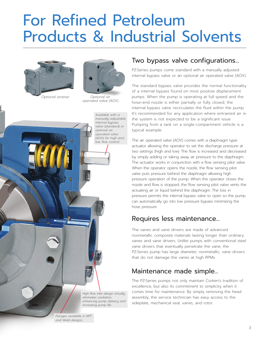## For Refined Petroleum Products & Industrial Solvents



*Optional strainer*



*Optional air operated valve (AOV)*

*High flow inlet design virtually eliminates cavitation, enhancing pump delivery and increasing pump life. Available with a manually adjustable internal bypass valve (standard) or optional air operated valve (AOV) for high and low flow control.*

## Two bypass valve configurations...

PZ-Series pumps come standard with a manually adjusted internal bypass valve or an optional air operated valve (AOV).

The standard bypass valve provides the normal functionality of a internal bypass found on most positive displacement pumps. When the pump is operating at full speed and the hose-end nozzle is either partially or fully closed, the internal bypass valve recirculates the fluid within the pump. It's recommended for any application where entrained air in the system is not expected to be a significant issue. Pumping from a tank on a single-compartment vehicle is a typical example.

The air operated valve (AOV) comes with a diaphragm type actuator allowing the operator to set the discharge pressure at two settings (high and low). The flow is increased and decreased by simply adding or taking away air pressure to the diaphragm. The actuator works in conjunction with a flow sensing pilot valve. When the operator opens the nozzle, the flow sensing pilot valve puts pressure behind the diaphragm allowing high pressure operation of the pump. When the operator closes the nozzle and flow is stopped, the flow sensing pilot valve vents the actuating air or liquid behind the diaphragm. The loss in pressure permits the internal bypass valve to open so the pump can automatically go into low pressure bypass minimizing the hose pressure.

#### Requires less maintenance...

The vanes and vane drivers are made of advanced nonmetallic composite materials lasting longer than ordinary vanes and vane drivers. Unlike pumps with conventional steel vane drivers that eventually penetrate the vane, the PZ-Series pump has large diameter, nonmetallic, vane drivers that do not damage the vanes at high RPMs.

#### Maintenance made simple...

The PZ-Series pumps not only maintain Corken's tradition of excellence, but also its commitment to simplicity when it comes time for maintenance. By simply removing the head assembly, the service technician has easy access to the sideplate, mechanical seal, vanes, and rotor.

*Flanges available in NPT and Weld designs.*